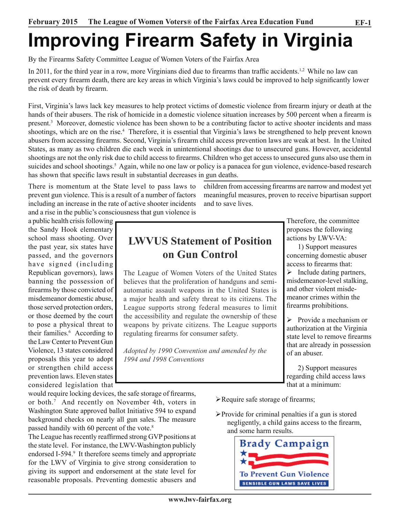# **Improving Firearm Safety in Virginia**

By the Firearms Safety Committee League of Women Voters of the Fairfax Area

In 2011, for the third year in a row, more Virginians died due to firearms than traffic accidents.<sup>1,2</sup> While no law can prevent every firearm death, there are key areas in which Virginia's laws could be improved to help significantly lower the risk of death by firearm.

First, Virginia's laws lack key measures to help protect victims of domestic violence from firearm injury or death at the hands of their abusers. The risk of homicide in a domestic violence situation increases by 500 percent when a firearm is present.<sup>3</sup> Moreover, domestic violence has been shown to be a contributing factor to active shooter incidents and mass shootings, which are on the rise.<sup>4</sup> Therefore, it is essential that Virginia's laws be strengthened to help prevent known abusers from accessing firearms. Second, Virginia's firearm child access prevention laws are weak at best. In the United States, as many as two children die each week in unintentional shootings due to unsecured guns. However, accidental shootings are not the only risk due to child access to firearms. Children who get access to unsecured guns also use them in suicides and school shootings.<sup>5</sup> Again, while no one law or policy is a panacea for gun violence, evidence-based research has shown that specific laws result in substantial decreases in gun deaths.

There is momentum at the State level to pass laws to prevent gun violence. This is a result of a number of factors including an increase in the rate of active shooter incidents and a rise in the public's consciousness that gun violence is

a public health crisis following the Sandy Hook elementary school mass shooting. Over the past year, six states have passed, and the governors have signed (including Republican governors), laws banning the possession of firearms by those convicted of misdemeanor domestic abuse, those served protection orders, or those deemed by the court to pose a physical threat to their families.<sup>6</sup> According to the Law Center to Prevent Gun Violence, 13 states considered proposals this year to adopt or strengthen child access prevention laws. Eleven states considered legislation that

## **LWVUS Statement of Position on Gun Control**

and to save lives.

The League of Women Voters of the United States believes that the proliferation of handguns and semiautomatic assault weapons in the United States is a major health and safety threat to its citizens. The League supports strong federal measures to limit the accessibility and regulate the ownership of these weapons by private citizens. The League supports regulating firearms for consumer safety.

*Adopted by 1990 Convention and amended by the 1994 and 1998 Conventions*

Therefore, the committee proposes the following actions by LWV-VA:

children from accessing firearms are narrow and modest yet meaningful measures, proven to receive bipartisan support

> 1) Support measures concerning domestic abuser access to firearms that:

> $\triangleright$  Include dating partners, misdemeanor-level stalking, and other violent misdemeanor crimes within the firearms prohibitions.

 $\triangleright$  Provide a mechanism or authorization at the Virginia state level to remove firearms that are already in possession of an abuser.

2) Support measures regarding child access laws that at a minimum:

would require locking devices, the safe storage of firearms, or both.7 And recently on November 4th, voters in Washington State approved ballot Initiative 594 to expand background checks on nearly all gun sales. The measure passed handily with 60 percent of the vote.<sup>8</sup>

The League has recently reaffirmed strong GVP positions at the state level. For instance, the LWV-Washington publicly endorsed I-594.<sup>9</sup> It therefore seems timely and appropriate for the LWV of Virginia to give strong consideration to giving its support and endorsement at the state level for reasonable proposals. Preventing domestic abusers and

- $\blacktriangleright$  Require safe storage of firearms;
- $\triangleright$  Provide for criminal penalties if a gun is stored negligently, a child gains access to the firearm, and some harm results.

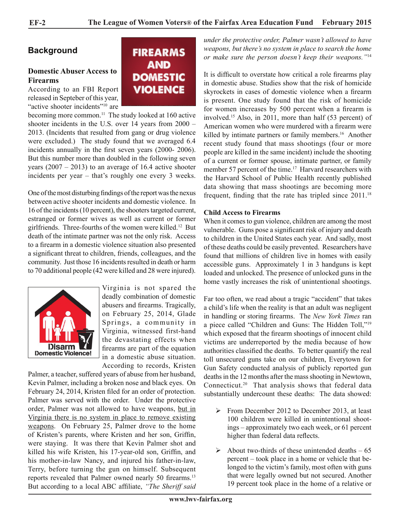## **Background**

#### **Domestic Abuser Access to Firearms**

According to an FBI Report released in Septeber of this year, "active shooter incidents"<sup>10</sup> are



becoming more common.<sup>11</sup> The study looked at 160 active shooter incidents in the U.S. over 14 years from 2000 – 2013. (Incidents that resulted from gang or drug violence were excluded.) The study found that we averaged 6.4 incidents annually in the first seven years (2000- 2006). But this number more than doubled in the following seven years  $(2007 - 2013)$  to an average of 16.4 active shooter incidents per year – that's roughly one every 3 weeks.

One of the most disturbing findings of the report was the nexus between active shooter incidents and domestic violence. In 16 of the incidents (10 percent), the shooters targeted current, estranged or former wives as well as current or former girlfriends. Three-fourths of the women were killed.<sup>12</sup> But death of the intimate partner was not the only risk. Access to a firearm in a domestic violence situation also presented a significant threat to children, friends, colleagues, and the community. Just those 16 incidents resulted in death or harm to 70 additional people (42 were killed and 28 were injured).



Virginia is not spared the deadly combination of domestic abusers and firearms. Tragically, on February 25, 2014, Glade Springs, a community in Virginia, witnessed first-hand the devastating effects when firearms are part of the equation in a domestic abuse situation. According to records, Kristen

Palmer, a teacher, suffered years of abuse from her husband, Kevin Palmer, including a broken nose and black eyes. On February 24, 2014, Kristen filed for an order of protection. Palmer was served with the order. Under the protective order, Palmer was not allowed to have weapons, but in Virginia there is no system in place to remove existing weapons. On February 25, Palmer drove to the home of Kristen's parents, where Kristen and her son, Griffin, were staying. It was there that Kevin Palmer shot and killed his wife Kristen, his 17-year-old son, Griffin, and his mother-in-law Nancy, and injured his father-in-law, Terry, before turning the gun on himself. Subsequent reports revealed that Palmer owned nearly 50 firearms.<sup>13</sup> But according to a local ABC affiliate, *"The Sheriff said*  *under the protective order, Palmer wasn't allowed to have weapons, but there's no system in place to search the home or make sure the person doesn't keep their weapons."*<sup>14</sup>

It is difficult to overstate how critical a role firearms play in domestic abuse. Studies show that the risk of homicide skyrockets in cases of domestic violence when a firearm is present. One study found that the risk of homicide for women increases by 500 percent when a firearm is involved.<sup>15</sup> Also, in 2011, more than half (53 percent) of American women who were murdered with a firearm were killed by intimate partners or family members.<sup>16</sup> Another recent study found that mass shootings (four or more people are killed in the same incident) include the shooting of a current or former spouse, intimate partner, or family member 57 percent of the time.<sup>17</sup> Harvard researchers with the Harvard School of Public Health recently published data showing that mass shootings are becoming more frequent, finding that the rate has tripled since 2011.<sup>18</sup>

#### **Child Access to Firearms**

When it comes to gun violence, children are among the most vulnerable. Guns pose a significant risk of injury and death to children in the United States each year. And sadly, most of these deaths could be easily prevented. Researchers have found that millions of children live in homes with easily accessible guns. Approximately 1 in 3 handguns is kept loaded and unlocked. The presence of unlocked guns in the home vastly increases the risk of unintentional shootings.

Far too often, we read about a tragic "accident" that takes a child's life when the reality is that an adult was negligent in handling or storing firearms. The *New York Times* ran a piece called "Children and Guns: The Hidden Toll,"19 which exposed that the firearm shootings of innocent child victims are underreported by the media because of how authorities classified the deaths. To better quantify the real toll unsecured guns take on our children, Everytown for Gun Safety conducted analysis of publicly reported gun deaths in the 12 months after the mass shooting in Newtown, Connecticut.20 That analysis shows that federal data substantially undercount these deaths: The data showed:

- $\triangleright$  From December 2012 to December 2013, at least 100 children were killed in unintentional shootings – approximately two each week, or 61 percent higher than federal data reflects.
- $\triangleright$  About two-thirds of these unintended deaths 65 percent – took place in a home or vehicle that belonged to the victim's family, most often with guns that were legally owned but not secured. Another 19 percent took place in the home of a relative or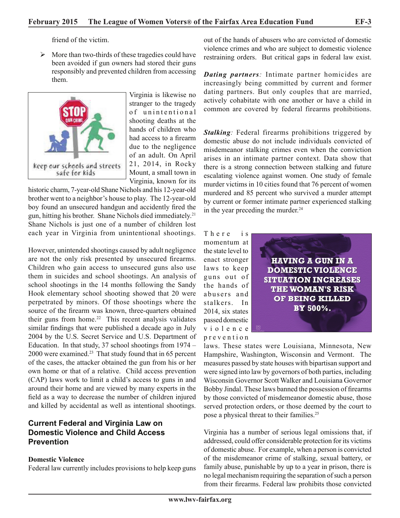friend of the victim.

 $\triangleright$  More than two-thirds of these tragedies could have been avoided if gun owners had stored their guns responsibly and prevented children from accessing them.



Virginia is likewise no stranger to the tragedy of unintentional shooting deaths at the hands of children who had access to a firearm due to the negligence of an adult. On April 21, 2014, in Rocky Mount, a small town in Virginia, known for its

historic charm, 7-year-old Shane Nichols and his 12-year-old brother went to a neighbor's house to play. The 12-year-old boy found an unsecured handgun and accidently fired the gun, hitting his brother. Shane Nichols died immediately.<sup>21</sup> Shane Nichols is just one of a number of children lost each year in Virginia from unintentional shootings.

However, unintended shootings caused by adult negligence are not the only risk presented by unsecured firearms. Children who gain access to unsecured guns also use them in suicides and school shootings. An analysis of school shootings in the 14 months following the Sandy Hook elementary school shooting showed that 20 were perpetrated by minors. Of those shootings where the source of the firearm was known, three-quarters obtained their guns from home.<sup>22</sup> This recent analysis validates similar findings that were published a decade ago in July 2004 by the U.S. Secret Service and U.S. Department of Education. In that study, 37 school shootings from 1974 – 2000 were examined.23 That study found that in 65 percent of the cases, the attacker obtained the gun from his or her own home or that of a relative. Child access prevention (CAP) laws work to limit a child's access to guns in and around their home and are viewed by many experts in the field as a way to decrease the number of children injured and killed by accidental as well as intentional shootings.

### **Current Federal and Virginia Law on Domestic Violence and Child Access Prevention**

#### **Domestic Violence**

Federal law currently includes provisions to help keep guns

out of the hands of abusers who are convicted of domestic violence crimes and who are subject to domestic violence restraining orders. But critical gaps in federal law exist.

*Dating partners:* Intimate partner homicides are increasingly being committed by current and former dating partners. But only couples that are married, actively cohabitate with one another or have a child in common are covered by federal firearms prohibitions.

**Stalking**: Federal firearms prohibitions triggered by domestic abuse do not include individuals convicted of misdemeanor stalking crimes even when the conviction arises in an intimate partner context. Data show that there is a strong connection between stalking and future escalating violence against women. One study of female murder victims in 10 cities found that 76 percent of women murdered and 85 percent who survived a murder attempt by current or former intimate partner experienced stalking in the year preceding the murder.<sup>24</sup>

There is momentum at the state level to enact stronger laws to keep guns out of the hands of abusers and stalkers. In 2014, six states passed domestic v i o l e n c e p r e v e n t i o n



laws. These states were Louisiana, Minnesota, New Hampshire, Washington, Wisconsin and Vermont. The measures passed by state houses with bipartisan support and were signed into law by governors of both parties, including Wisconsin Governor Scott Walker and Louisiana Governor Bobby Jindal. These laws banned the possession of firearms by those convicted of misdemeanor domestic abuse, those served protection orders, or those deemed by the court to pose a physical threat to their families.<sup>25</sup>

Virginia has a number of serious legal omissions that, if addressed, could offer considerable protection for its victims of domestic abuse. For example, when a person is convicted of the misdemeanor crime of stalking, sexual battery, or family abuse, punishable by up to a year in prison, there is no legal mechanism requiring the separation of such a person from their firearms. Federal law prohibits those convicted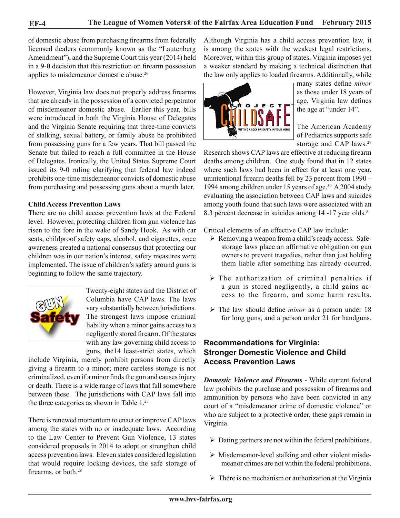of domestic abuse from purchasing firearms from federally licensed dealers (commonly known as the "Lautenberg Amendment"), and the Supreme Court this year (2014) held in a 9-0 decision that this restriction on firearm possession applies to misdemeanor domestic abuse.<sup>26</sup>

However, Virginia law does not properly address firearms that are already in the possession of a convicted perpetrator of misdemeanor domestic abuse. Earlier this year, bills were introduced in both the Virginia House of Delegates and the Virginia Senate requiring that three-time convicts of stalking, sexual battery, or family abuse be prohibited from possessing guns for a few years. That bill passed the Senate but failed to reach a full committee in the House of Delegates. Ironically, the United States Supreme Court issued its 9-0 ruling clarifying that federal law indeed prohibits one-time misdemeanor convicts of domestic abuse from purchasing and possessing guns about a month later.

#### **Child Access Prevention Laws**

There are no child access prevention laws at the Federal level. However, protecting children from gun violence has risen to the fore in the wake of Sandy Hook. As with car seats, childproof safety caps, alcohol, and cigarettes, once awareness created a national consensus that protecting our children was in our nation's interest, safety measures were implemented. The issue of children's safety around guns is beginning to follow the same trajectory.



Twenty-eight states and the District of Columbia have CAP laws. The laws vary substantially between jurisdictions. The strongest laws impose criminal liability when a minor gains access to a negligently stored firearm. Of the states with any law governing child access to guns, the14 least-strict states, which

include Virginia, merely prohibit persons from directly giving a firearm to a minor; mere careless storage is not criminalized, even if a minor finds the gun and causes injury or death. There is a wide range of laws that fall somewhere between these. The jurisdictions with CAP laws fall into the three categories as shown in Table 1.<sup>27</sup>

There is renewed momentum to enact or improve CAP laws among the states with no or inadequate laws. According to the Law Center to Prevent Gun Violence, 13 states considered proposals in 2014 to adopt or strengthen child access prevention laws. Eleven states considered legislation that would require locking devices, the safe storage of firearms, or both.<sup>28</sup>

Although Virginia has a child access prevention law, it is among the states with the weakest legal restrictions. Moreover, within this group of states, Virginia imposes yet a weaker standard by making a technical distinction that the law only applies to loaded firearms. Additionally, while



many states define *minor* as those under 18 years of age, Virginia law defines the age at "under 14".

The American Academy of Pediatrics supports safe storage and CAP laws.<sup>29</sup>

Research shows CAP laws are effective at reducing firearm deaths among children. One study found that in 12 states where such laws had been in effect for at least one year, unintentional firearm deaths fell by 23 percent from 1990 – 1994 among children under 15 years of age.<sup>30</sup> A 2004 study evaluating the association between CAP laws and suicides among youth found that such laws were associated with an 8.3 percent decrease in suicides among 14 -17 year olds.<sup>31</sup>

Critical elements of an effective CAP law include:

- $\triangleright$  Removing a weapon from a child's ready access. Safestorage laws place an affirmative obligation on gun owners to prevent tragedies, rather than just holding them liable after something has already occurred.
- $\triangleright$  The authorization of criminal penalties if a gun is stored negligently, a child gains access to the firearm, and some harm results.
- $\triangleright$  The law should define *minor* as a person under 18 for long guns, and a person under 21 for handguns.

#### **Recommendations for Virginia: Stronger Domestic Violence and Child Access Prevention Laws**

*Domestic Violence and Firearms* - While current federal law prohibits the purchase and possession of firearms and ammunition by persons who have been convicted in any court of a "misdemeanor crime of domestic violence" or who are subject to a protective order, these gaps remain in Virginia.

- $\triangleright$  Dating partners are not within the federal prohibitions.
- $\triangleright$  Misdemeanor-level stalking and other violent misdemeanor crimes are not within the federal prohibitions.
- $\triangleright$  There is no mechanism or authorization at the Virginia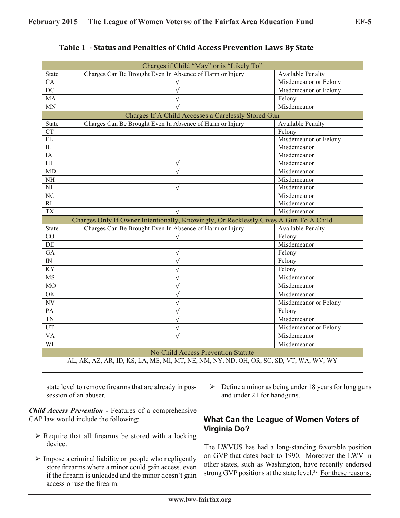| Charges if Child "May" or is "Likely To"                                               |                                                          |                                  |  |  |  |  |  |
|----------------------------------------------------------------------------------------|----------------------------------------------------------|----------------------------------|--|--|--|--|--|
| <b>State</b>                                                                           | Charges Can Be Brought Even In Absence of Harm or Injury | <b>Available Penalty</b>         |  |  |  |  |  |
| CA                                                                                     | $\sqrt{ }$                                               | Misdemeanor or Felony            |  |  |  |  |  |
| $\overline{DC}$                                                                        | $\sqrt{ }$                                               | Misdemeanor or Felony            |  |  |  |  |  |
| MA                                                                                     | $\sqrt{ }$                                               | Felony                           |  |  |  |  |  |
| MN                                                                                     |                                                          | Misdemeanor                      |  |  |  |  |  |
| Charges If A Child Accesses a Carelessly Stored Gun                                    |                                                          |                                  |  |  |  |  |  |
| <b>State</b>                                                                           | Charges Can Be Brought Even In Absence of Harm or Injury | <b>Available Penalty</b>         |  |  |  |  |  |
| <b>CT</b>                                                                              |                                                          | Felony                           |  |  |  |  |  |
| $\mathbf{FL}$                                                                          |                                                          | Misdemeanor or Felony            |  |  |  |  |  |
| $\rm IL$                                                                               |                                                          | Misdemeanor                      |  |  |  |  |  |
| IA                                                                                     |                                                          | Misdemeanor                      |  |  |  |  |  |
| H                                                                                      | $\sqrt{ }$                                               | Misdemeanor                      |  |  |  |  |  |
| MD                                                                                     | √                                                        | Misdemeanor                      |  |  |  |  |  |
| $\rm{NH}$                                                                              |                                                          | Misdemeanor                      |  |  |  |  |  |
| $\overline{\text{NJ}}$                                                                 | $\sqrt{ }$                                               | Misdemeanor                      |  |  |  |  |  |
| $\overline{\text{NC}}$                                                                 |                                                          | Misdemeanor                      |  |  |  |  |  |
| RI                                                                                     |                                                          | Misdemeanor                      |  |  |  |  |  |
| <b>TX</b>                                                                              |                                                          | Misdemeanor                      |  |  |  |  |  |
| Charges Only If Owner Intentionally, Knowingly, Or Recklessly Gives A Gun To A Child   |                                                          |                                  |  |  |  |  |  |
| State                                                                                  | Charges Can Be Brought Even In Absence of Harm or Injury | Available Penalty                |  |  |  |  |  |
| CO                                                                                     | $\sqrt{ }$                                               | Felony                           |  |  |  |  |  |
| DE                                                                                     |                                                          | $\overline{\text{M}}$ isdemeanor |  |  |  |  |  |
| GA                                                                                     | $\sqrt{}$                                                | Felony                           |  |  |  |  |  |
| IN                                                                                     | $\sqrt{ }$                                               | Felony                           |  |  |  |  |  |
| $\overline{KY}$                                                                        | √                                                        | Felony                           |  |  |  |  |  |
| <b>MS</b>                                                                              | $\sqrt{}$                                                | Misdemeanor                      |  |  |  |  |  |
| M <sub>O</sub>                                                                         |                                                          | Misdemeanor                      |  |  |  |  |  |
| OK                                                                                     | $\sqrt{}$                                                | Misdemeanor                      |  |  |  |  |  |
| $N\overline{V}$                                                                        | $\sqrt{}$                                                | Misdemeanor or Felony            |  |  |  |  |  |
| PA                                                                                     | $\sqrt{ }$                                               | Felony                           |  |  |  |  |  |
| <b>TN</b>                                                                              | $\sqrt{ }$                                               | Misdemeanor                      |  |  |  |  |  |
| UT                                                                                     | $\sqrt{ }$                                               | Misdemeanor or Felony            |  |  |  |  |  |
| <b>VA</b>                                                                              | $\sqrt{}$                                                | Misdemeanor                      |  |  |  |  |  |
| WI                                                                                     |                                                          | Misdemeanor                      |  |  |  |  |  |
| <b>No Child Access Prevention Statute</b>                                              |                                                          |                                  |  |  |  |  |  |
| AL, AK, AZ, AR, ID, KS, LA, ME, MI, MT, NE, NM, NY, ND, OH, OR, SC, SD, VT, WA, WV, WY |                                                          |                                  |  |  |  |  |  |

| Table 1 - Status and Penalties of Child Access Prevention Laws By State |  |  |  |  |  |  |
|-------------------------------------------------------------------------|--|--|--|--|--|--|
|-------------------------------------------------------------------------|--|--|--|--|--|--|

state level to remove firearms that are already in possession of an abuser.

*Child Access Prevention -* Features of a comprehensive CAP law would include the following:

- $\triangleright$  Require that all firearms be stored with a locking device.
- $\triangleright$  Impose a criminal liability on people who negligently store firearms where a minor could gain access, even if the firearm is unloaded and the minor doesn't gain access or use the firearm.

 $\triangleright$  Define a minor as being under 18 years for long guns and under 21 for handguns.

#### **What Can the League of Women Voters of Virginia Do?**

The LWVUS has had a long-standing favorable position on GVP that dates back to 1990. Moreover the LWV in other states, such as Washington, have recently endorsed strong GVP positions at the state level.<sup>32</sup> For these reasons,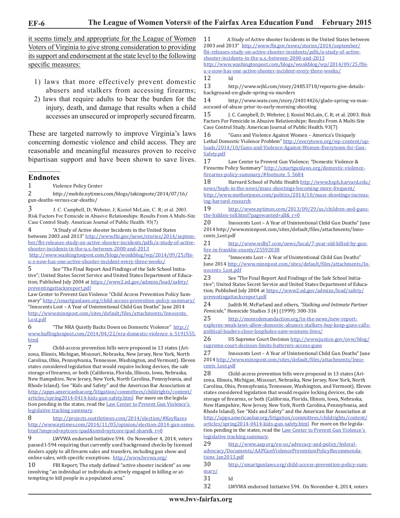**EF-6**

it seems timely and appropriate for the League of Women Voters of Virginia to give strong consideration to providing its support and endorsement at the state level to the following specific measures:

- 1) laws that more effectively prevent domestic abusers and stalkers from accessing firearms;
- 2) laws that require adults to bear the burden for the injury, death, and damage that results when a child accesses an unsecured or improperly secured firearm.

These are targeted narrowly to improve Virginia's laws concerning domestic violence and child access. They are reasonable and meaningful measures proven to receive bipartisan support and have been shown to save lives.

#### $\overline{\phantom{a}}$ **Endnotes**

1 Violence Policy Center<br>2 http://mobile.nvtimes

2 http://mobile.nytimes.com/blogs/takingnote/2014/07/16/ gun-deaths-versus-car-deaths/

3 J. C. Campbell, D; Webster, J; Koziol McLain, C. R; et al. 2003. Risk Factors For Femicide in Abusive Relationships: Results From A Multi-Site Case Control Study. American Journal of Public Health. 93(7)

4 "A Study of Active shooter Incidents in the United States between 2003 and 2013" http://www.fbi.gov/news/stories/2014/september/fbi-releases-study-on-active-shooter-incidents/pdfs/a-study-of-activeshooter-incidents-in-the-u.s.-between-2000-and-2013

http://www.washingtonpost.com/blogs/wonkblog/wp/2014/09/25/fbiu-s-now-has-one-active-shooter-incident-every-three-weeks/

5 See "The Final Report And Findings of the Safe School Initiative"; United States Secret Service and United States Department of Education; Published July 2004 at https://www2.ed.gov/admins/lead/safety/ preventingattacksreport.pdf

Law Center to Prevent Gun Violence "Child Access Prevention Policy Summary" http://smartgunlaws.org/child-access-prevention-policy-summary/ "Innocents Lost – A Year of Unintentional Child Gun Deaths" June 2014 http://www.minnpost.com/sites/default/files/attachments/Innocents\_ Lost.pdf

6 "The NRA Quietly Backs Down on Domestic Violence" http:// www.huffingtonpost.com/2014/04/22/nra-domestic-violence\_n\_5191555. html

7 Child-access prevention bills were proposed in 13 states (Arizona, Illinois, Michigan, Missouri, Nebraska, New Jersey, New York, North Carolina, Ohio, Pennsylvania, Tennessee, Washington, and Vermont). Eleven states considered legislation that would require locking devices, the safe storage of firearms, or both (California, Florida, Illinois, Iowa, Nebraska, New Hampshire, New Jersey, New York, North Carolina, Pennsylvania, and Rhode Island). See "Kids and Safety" and the American Bar Association at http://apps.americanbar.org/litigation/committees/childrights/content/ articles/spring2014-0414-kids-gun-safety.html For more on the legislation pending in the states, read the **Law Center to Prevent Gun Violence's** legislative tracking summary.

8 http://projects.seattletimes.com/2014/election/#KeyRaces http://www.nytimes.com/2014/11/05/opinion/election-2014-gun-sense. html?smprod=nytcore-ipad&smid=nytcore-ipad-share&\_r=0

9 LWVWA endorsed Initiative 594. On November 4, 2014, voters passed I-594 requiring that currently used background checks by licensed dealers apply to all firearm sales and transfers, including gun show and online sales, with specific exceptions. http://www.lwvwa.org/

10 FBI Report; The study defined "active shooter incident" as one involving "an individual or individuals actively engaged in killing or attempting to kill people in a populated area."

11 A Study of Active shooter Incidents in the United States between 2003 and 2013" http://www.fbi.gov/news/stories/2014/september/ fbi-releases-study-on-active-shooter-incidents/pdfs/a-study-of-activeshooter-incidents-in-the-u.s.-between-2000-and-2013

http://www.washingtonpost.com/blogs/wonkblog/wp/2014/09/25/fbiu-s-now-has-one-active-shooter-incident-every-three-weeks/

12<br>13

http://www.wjhl.com/story/24853718/reports-give-detailsbackground-on-glade-spring-va-murders

14 http://www.wate.com/story/24814426/glade-spring-va-manaccused-of-abuse-prior-to-early-morning-shooting

15 J. C. Campbell, D; Webster, J; Koziol McLain, C. R; et al. 2003. Risk Factors For Femicide in Abusive Relationships: Results From A Multi-Site Case Control Study. American Journal of Public Health. 93(7)

16 "Guns and Violence Against Women – America's Uniquely Lethal Domestic Violence Problem" http://everytown.org/wp-content/uploads/2014/10/Guns-and-Violence-Against-Women-Everytown-for-Gun-Safety.pdf<br>17

Law Center to Prevent Gun Violence; "Domestic Violence & Firearms Policy Summary" http://smartgunlaws.org/domestic-violencefirearms-policy-summary/#footnote\_5\_5684

18 Harvard School of Public Health http://www.hsph.harvard.edu/ news/hsph-in-the-news/mass-shootings-becoming-more-frequent/ http://www.motherjones.com/politics/2014/10/mass-shootings-increasing-harvard-research

19 http://www.nytimes.com/2013/09/29/us/children-and-gunsthe-hidden-toll.html?pagewanted=all&\_r=0

20 Innocents Lost – A Year of Unintentional Child Gun Deaths" June 2014 http://www.minnpost.com/sites/default/files/attachments/Innocents\_Lost.pdf

21 http://www.wdbj7.com/news/local/7-year-old-killed-by-gunfire-in-franklin-county/25592038

22 "Innocents Lost – A Year of Unintentional Child Gun Deaths" June 2014 http://www.minnpost.com/sites/default/files/attachments/Innocents\_Lost.pdf

23 See "The Final Report And Findings of the Safe School Initiative"; United States Secret Service and United States Department of Education; Published July 2004 at https://www2.ed.gov/admins/lead/safety/ preventingattacksreport.pdf

24 Judith M. McFarland and others, *"Stalking and Intimate Partner Femicide,*" Homicide Studies 3 (4) (1999): 300-316

25 http://momsdemandaction.org/in-the-news/new-reportexplores-weak-laws-allow-domestic-abusers-stalkers-buy-keep-guns-callspolitical-leaders-close-loopholes-save-womens-lives/

26 US Supreme Court Decision http://www.justice.gov/ovw/blog/ supreme-court-decision-limits-batterers-access-guns

27 Innocents Lost – A Year of Unintentional Child Gun Deaths" June 2014 http://www.minnpost.com/sites/default/files/attachments/Inno-

cents\_Lost.pdf<br>28 Chi Child-access prevention bills were proposed in 13 states (Arizona, Illinois, Michigan, Missouri, Nebraska, New Jersey, New York, North Carolina, Ohio, Pennsylvania, Tennessee, Washington, and Vermont). Eleven states considered legislation that would require locking devices, the safe storage of firearms, or both (California, Florida, Illinois, Iowa, Nebraska, New Hampshire, New Jersey, New York, North Carolina, Pennsylvania, and Rhode Island). See "Kids and Safety" and the American Bar Association at http://apps.americanbar.org/litigation/committees/childrights/content/ articles/spring2014-0414-kids-gun-safety.html For more on the legislation pending in the states, read the Law Center to Prevent Gun Violence's legislative tracking summary.

29 http://www.aap.org/en-us/advocacy-and-policy/federaladvocacy/Documents/AAPGunViolencePreventionPolicyRecommendations\_Jan2013.pdf

30 http://smartgunlaws.org/child-access-prevention-policy-summary/

31 Id<br>32 LV

LWVWA endorsed Initiative 594. On November 4, 2014, voters